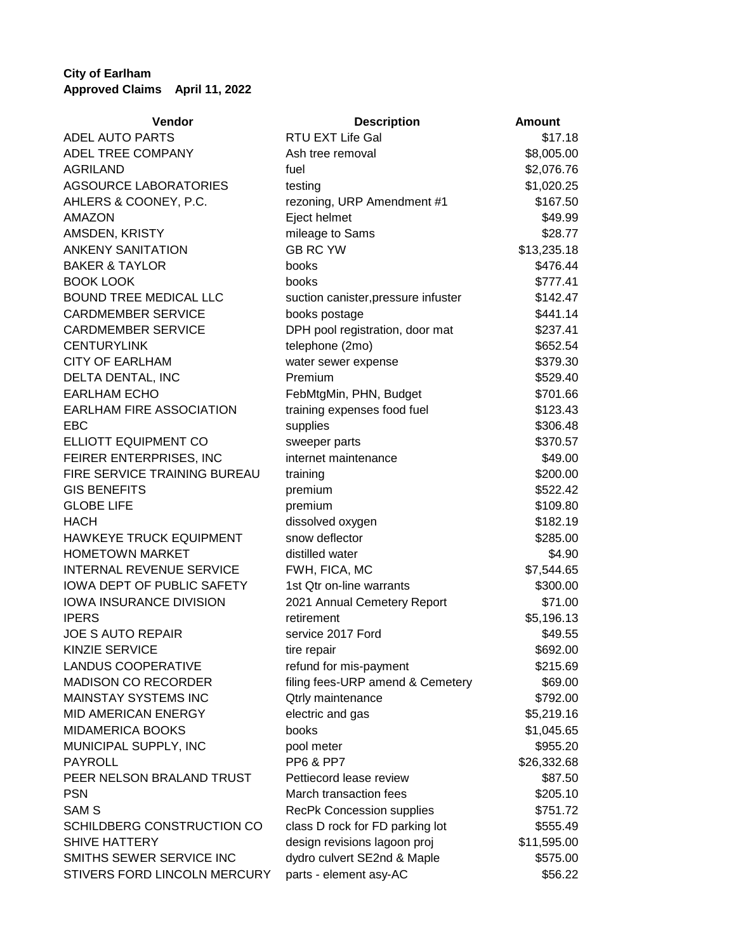## **City of Earlham Approved Claims April 11, 2022**

| Vendor                          | <b>Description</b>                  | <b>Amount</b> |
|---------------------------------|-------------------------------------|---------------|
| ADEL AUTO PARTS                 | RTU EXT Life Gal                    | \$17.18       |
| ADEL TREE COMPANY               | Ash tree removal                    | \$8,005.00    |
| <b>AGRILAND</b>                 | fuel                                | \$2,076.76    |
| <b>AGSOURCE LABORATORIES</b>    | testing                             | \$1,020.25    |
| AHLERS & COONEY, P.C.           | rezoning, URP Amendment #1          | \$167.50      |
| <b>AMAZON</b>                   | Eject helmet                        | \$49.99       |
| AMSDEN, KRISTY                  | mileage to Sams                     | \$28.77       |
| <b>ANKENY SANITATION</b>        | <b>GB RC YW</b>                     | \$13,235.18   |
| <b>BAKER &amp; TAYLOR</b>       | books                               | \$476.44      |
| <b>BOOK LOOK</b>                | books                               | \$777.41      |
| <b>BOUND TREE MEDICAL LLC</b>   | suction canister, pressure infuster | \$142.47      |
| <b>CARDMEMBER SERVICE</b>       | books postage                       | \$441.14      |
| <b>CARDMEMBER SERVICE</b>       | DPH pool registration, door mat     | \$237.41      |
| <b>CENTURYLINK</b>              | telephone (2mo)                     | \$652.54      |
| <b>CITY OF EARLHAM</b>          | water sewer expense                 | \$379.30      |
| DELTA DENTAL, INC               | Premium                             | \$529.40      |
| <b>EARLHAM ECHO</b>             | FebMtgMin, PHN, Budget              | \$701.66      |
| <b>EARLHAM FIRE ASSOCIATION</b> | training expenses food fuel         | \$123.43      |
| <b>EBC</b>                      | supplies                            | \$306.48      |
| ELLIOTT EQUIPMENT CO            | sweeper parts                       | \$370.57      |
| FEIRER ENTERPRISES, INC         | internet maintenance                | \$49.00       |
| FIRE SERVICE TRAINING BUREAU    | training                            | \$200.00      |
| <b>GIS BENEFITS</b>             | premium                             | \$522.42      |
| <b>GLOBE LIFE</b>               | premium                             | \$109.80      |
| <b>HACH</b>                     | dissolved oxygen                    | \$182.19      |
| HAWKEYE TRUCK EQUIPMENT         | snow deflector                      | \$285.00      |
| <b>HOMETOWN MARKET</b>          | distilled water                     | \$4.90        |
| <b>INTERNAL REVENUE SERVICE</b> | FWH, FICA, MC                       | \$7,544.65    |
| IOWA DEPT OF PUBLIC SAFETY      | 1st Qtr on-line warrants            | \$300.00      |
| IOWA INSURANCE DIVISION         | 2021 Annual Cemetery Report         | \$71.00       |
| <b>IPERS</b>                    | retirement                          | \$5,196.13    |
| <b>JOE S AUTO REPAIR</b>        | service 2017 Ford                   | \$49.55       |
| <b>KINZIE SERVICE</b>           | tire repair                         | \$692.00      |
| <b>LANDUS COOPERATIVE</b>       | refund for mis-payment              | \$215.69      |
| MADISON CO RECORDER             | filing fees-URP amend & Cemetery    | \$69.00       |
| <b>MAINSTAY SYSTEMS INC</b>     | Qtrly maintenance                   | \$792.00      |
| <b>MID AMERICAN ENERGY</b>      | electric and gas                    | \$5,219.16    |
| <b>MIDAMERICA BOOKS</b>         | books                               | \$1,045.65    |
| MUNICIPAL SUPPLY, INC           | pool meter                          | \$955.20      |
| <b>PAYROLL</b>                  | <b>PP6 &amp; PP7</b>                | \$26,332.68   |
| PEER NELSON BRALAND TRUST       | Pettiecord lease review             | \$87.50       |
| <b>PSN</b>                      | March transaction fees              | \$205.10      |
| <b>SAM S</b>                    | <b>RecPk Concession supplies</b>    | \$751.72      |
| SCHILDBERG CONSTRUCTION CO      | class D rock for FD parking lot     | \$555.49      |
| <b>SHIVE HATTERY</b>            | design revisions lagoon proj        | \$11,595.00   |
| SMITHS SEWER SERVICE INC        | dydro culvert SE2nd & Maple         | \$575.00      |
| STIVERS FORD LINCOLN MERCURY    | parts - element asy-AC              | \$56.22       |